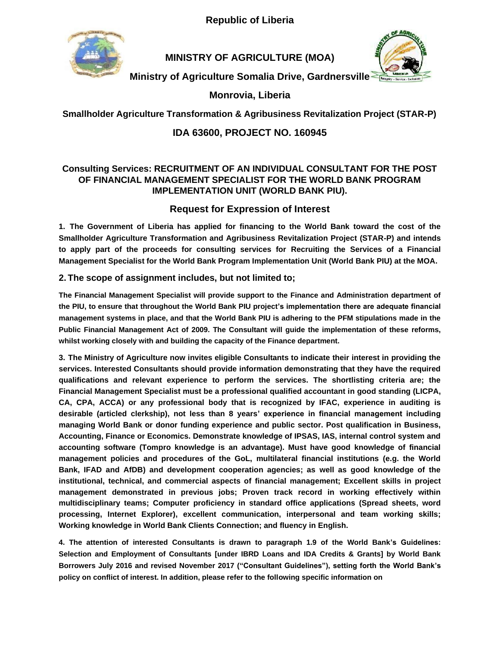**Republic of Liberia**



**MINISTRY OF AGRICULTURE (MOA)**



**Ministry of Agriculture Somalia Drive, Gardnersville**

**Monrovia, Liberia**

**Smallholder Agriculture Transformation & Agribusiness Revitalization Project (STAR-P)**

# **IDA 63600, PROJECT NO. 160945**

### **Consulting Services: RECRUITMENT OF AN INDIVIDUAL CONSULTANT FOR THE POST OF FINANCIAL MANAGEMENT SPECIALIST FOR THE WORLD BANK PROGRAM IMPLEMENTATION UNIT (WORLD BANK PIU).**

# **Request for Expression of Interest**

**1. The Government of Liberia has applied for financing to the World Bank toward the cost of the Smallholder Agriculture Transformation and Agribusiness Revitalization Project (STAR-P) and intends to apply part of the proceeds for consulting services for Recruiting the Services of a Financial Management Specialist for the World Bank Program Implementation Unit (World Bank PIU) at the MOA.**

### **2. The scope of assignment includes, but not limited to;**

**The Financial Management Specialist will provide support to the Finance and Administration department of the PIU, to ensure that throughout the World Bank PIU project's implementation there are adequate financial management systems in place, and that the World Bank PIU is adhering to the PFM stipulations made in the Public Financial Management Act of 2009. The Consultant will guide the implementation of these reforms, whilst working closely with and building the capacity of the Finance department.**

**3. The Ministry of Agriculture now invites eligible Consultants to indicate their interest in providing the services. Interested Consultants should provide information demonstrating that they have the required qualifications and relevant experience to perform the services. The shortlisting criteria are; the Financial Management Specialist must be a professional qualified accountant in good standing (LICPA, CA, CPA, ACCA) or any professional body that is recognized by IFAC, experience in auditing is desirable (articled clerkship), not less than 8 years' experience in financial management including managing World Bank or donor funding experience and public sector. Post qualification in Business, Accounting, Finance or Economics. Demonstrate knowledge of IPSAS, IAS, internal control system and accounting software (Tompro knowledge is an advantage). Must have good knowledge of financial management policies and procedures of the GoL, multilateral financial institutions (e.g. the World Bank, IFAD and AfDB) and development cooperation agencies; as well as good knowledge of the institutional, technical, and commercial aspects of financial management; Excellent skills in project management demonstrated in previous jobs; Proven track record in working effectively within multidisciplinary teams; Computer proficiency in standard office applications (Spread sheets, word processing, Internet Explorer), excellent communication, interpersonal and team working skills; Working knowledge in World Bank Clients Connection; and fluency in English.**

**4. The attention of interested Consultants is drawn to paragraph 1.9 of the World Bank's Guidelines: Selection and Employment of Consultants [under IBRD Loans and IDA Credits & Grants] by World Bank Borrowers July 2016 and revised November 2017 ("Consultant Guidelines"), setting forth the World Bank's policy on conflict of interest. In addition, please refer to the following specific information on**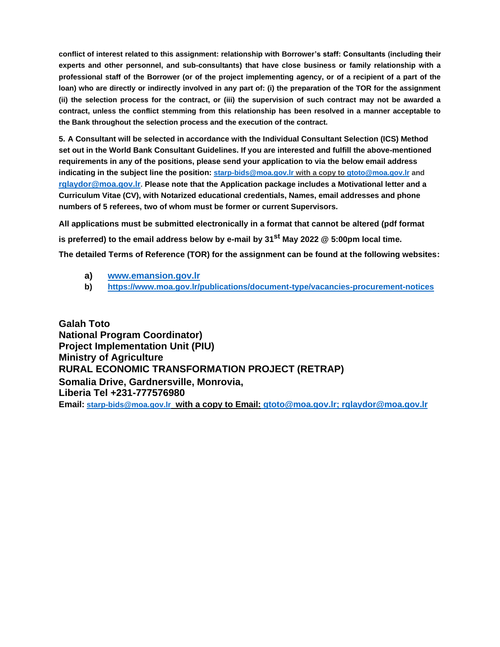**conflict of interest related to this assignment: relationship with Borrower's staff: Consultants (including their experts and other personnel, and sub-consultants) that have close business or family relationship with a professional staff of the Borrower (or of the project implementing agency, or of a recipient of a part of the loan) who are directly or indirectly involved in any part of: (i) the preparation of the TOR for the assignment (ii) the selection process for the contract, or (iii) the supervision of such contract may not be awarded a contract, unless the conflict stemming from this relationship has been resolved in a manner acceptable to the Bank throughout the selection process and the execution of the contract.**

**5. A Consultant will be selected in accordance with the Individual Consultant Selection (ICS) Method set out in the World Bank Consultant Guidelines. If you are interested and fulfill the above-mentioned requirements in any of the positions, please send your application to via the below email address indicating in the subject line the position: starp-bids@moa.gov.lr with a copy to gtoto@moa.gov.lr and rglaydor@moa.gov.lr. Please note that the Application package includes a Motivational letter and a Curriculum Vitae (CV), with Notarized educational credentials, Names, email addresses and phone numbers of 5 referees, two of whom must be former or current Supervisors.**

**All applications must be submitted electronically in a format that cannot be altered (pdf format is preferred) to the email address below by e-mail by 31st May 2022 @ 5:00pm local time. The detailed Terms of Reference (TOR) for the assignment can be found at the following websites:**

- **a) www.emansion.gov.lr**
- **b) https://www.moa.gov.lr/publications/document-type/vacancies-procurement-notices**

**Galah Toto National Program Coordinator) Project Implementation Unit (PIU) Ministry of Agriculture RURAL ECONOMIC TRANSFORMATION PROJECT (RETRAP) Somalia Drive, Gardnersville, Monrovia, Liberia Tel +231-777576980 Email: starp-bids@moa.gov.lr with a copy to Email: gtoto@moa.gov.lr; [rglaydor@moa.gov.lr](mailto:rglaydor@moa.gov.lr)**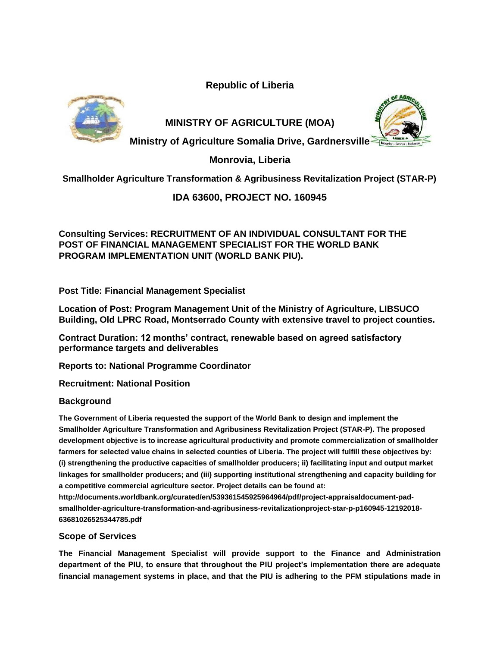**Republic of Liberia**





**MINISTRY OF AGRICULTURE (MOA)**

**Ministry of Agriculture Somalia Drive, Gardnersville**

**Monrovia, Liberia**

**Smallholder Agriculture Transformation & Agribusiness Revitalization Project (STAR-P)**

## **IDA 63600, PROJECT NO. 160945**

**Consulting Services: RECRUITMENT OF AN INDIVIDUAL CONSULTANT FOR THE POST OF FINANCIAL MANAGEMENT SPECIALIST FOR THE WORLD BANK PROGRAM IMPLEMENTATION UNIT (WORLD BANK PIU).**

**Post Title: Financial Management Specialist**

**Location of Post: Program Management Unit of the Ministry of Agriculture, LIBSUCO Building, Old LPRC Road, Montserrado County with extensive travel to project counties.**

**Contract Duration: 12 months' contract, renewable based on agreed satisfactory performance targets and deliverables**

**Reports to: National Programme Coordinator**

**Recruitment: National Position**

### **Background**

**The Government of Liberia requested the support of the World Bank to design and implement the Smallholder Agriculture Transformation and Agribusiness Revitalization Project (STAR-P). The proposed development objective is to increase agricultural productivity and promote commercialization of smallholder farmers for selected value chains in selected counties of Liberia. The project will fulfill these objectives by: (i) strengthening the productive capacities of smallholder producers; ii) facilitating input and output market linkages for smallholder producers; and (iii) supporting institutional strengthening and capacity building for a competitive commercial agriculture sector. Project details can be found at: http://documents.worldbank.org/curated/en/539361545925964964/pdf/project-appraisaldocument-padsmallholder-agriculture-transformation-and-agribusiness-revitalizationproject-star-p-p160945-12192018-**

**63681026525344785.pdf**

### **Scope of Services**

**The Financial Management Specialist will provide support to the Finance and Administration department of the PIU, to ensure that throughout the PIU project's implementation there are adequate financial management systems in place, and that the PIU is adhering to the PFM stipulations made in**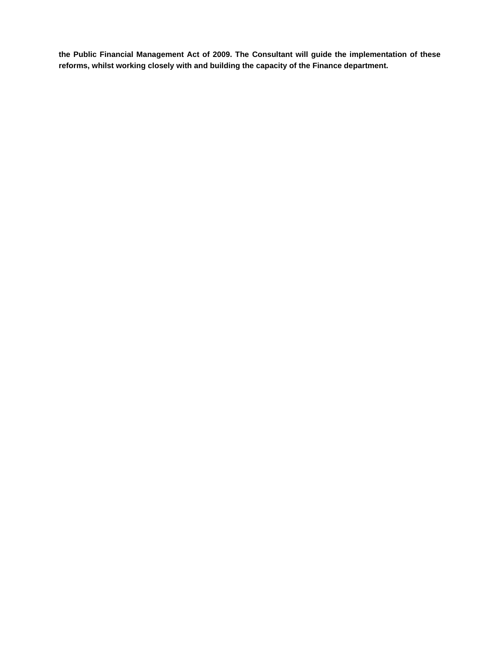**the Public Financial Management Act of 2009. The Consultant will guide the implementation of these reforms, whilst working closely with and building the capacity of the Finance department.**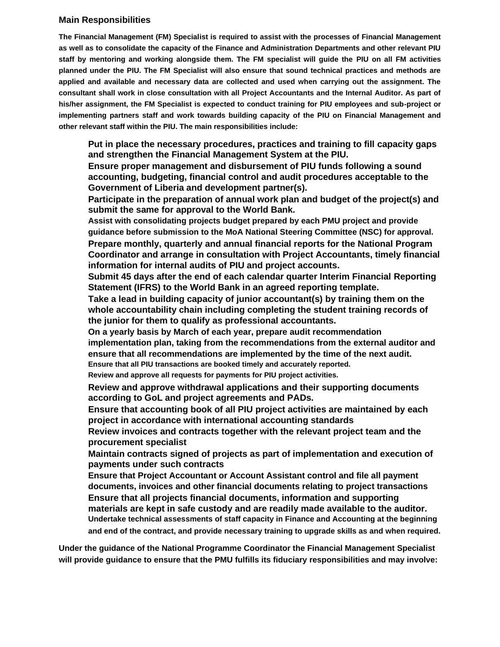#### **Main Responsibilities**

**The Financial Management (FM) Specialist is required to assist with the processes of Financial Management as well as to consolidate the capacity of the Finance and Administration Departments and other relevant PIU staff by mentoring and working alongside them. The FM specialist will guide the PIU on all FM activities planned under the PIU. The FM Specialist will also ensure that sound technical practices and methods are applied and available and necessary data are collected and used when carrying out the assignment. The consultant shall work in close consultation with all Project Accountants and the Internal Auditor. As part of his/her assignment, the FM Specialist is expected to conduct training for PIU employees and sub-project or implementing partners staff and work towards building capacity of the PIU on Financial Management and other relevant staff within the PIU. The main responsibilities include:**

**Put in place the necessary procedures, practices and training to fill capacity gaps and strengthen the Financial Management System at the PIU.**

**Ensure proper management and disbursement of PIU funds following a sound accounting, budgeting, financial control and audit procedures acceptable to the Government of Liberia and development partner(s).**

**Participate in the preparation of annual work plan and budget of the project(s) and submit the same for approval to the World Bank.**

**Assist with consolidating projects budget prepared by each PMU project and provide guidance before submission to the MoA National Steering Committee (NSC) for approval. Prepare monthly, quarterly and annual financial reports for the National Program Coordinator and arrange in consultation with Project Accountants, timely financial information for internal audits of PIU and project accounts.**

**Submit 45 days after the end of each calendar quarter Interim Financial Reporting Statement (IFRS) to the World Bank in an agreed reporting template.**

**Take a lead in building capacity of junior accountant(s) by training them on the whole accountability chain including completing the student training records of the junior for them to qualify as professional accountants.**

**On a yearly basis by March of each year, prepare audit recommendation** 

**implementation plan, taking from the recommendations from the external auditor and ensure that all recommendations are implemented by the time of the next audit. Ensure that all PIU transactions are booked timely and accurately reported.** 

**Review and approve all requests for payments for PIU project activities.**

**Review and approve withdrawal applications and their supporting documents according to GoL and project agreements and PADs.**

**Ensure that accounting book of all PIU project activities are maintained by each project in accordance with international accounting standards**

**Review invoices and contracts together with the relevant project team and the procurement specialist**

**Maintain contracts signed of projects as part of implementation and execution of payments under such contracts**

**Ensure that Project Accountant or Account Assistant control and file all payment documents, invoices and other financial documents relating to project transactions Ensure that all projects financial documents, information and supporting materials are kept in safe custody and are readily made available to the auditor. Undertake technical assessments of staff capacity in Finance and Accounting at the beginning and end of the contract, and provide necessary training to upgrade skills as and when required.**

**Under the guidance of the National Programme Coordinator the Financial Management Specialist will provide guidance to ensure that the PMU fulfills its fiduciary responsibilities and may involve:**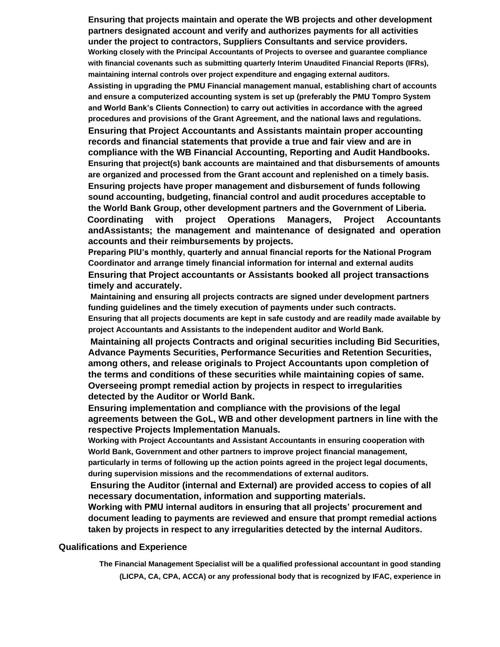**Ensuring that projects maintain and operate the WB projects and other development partners designated account and verify and authorizes payments for all activities under the project to contractors, Suppliers Consultants and service providers. Working closely with the Principal Accountants of Projects to oversee and guarantee compliance with financial covenants such as submitting quarterly Interim Unaudited Financial Reports (IFRs), maintaining internal controls over project expenditure and engaging external auditors. Assisting in upgrading the PMU Financial management manual, establishing chart of accounts and ensure a computerized accounting system is set up (preferably the PMU Tompro System and World Bank's Clients Connection) to carry out activities in accordance with the agreed procedures and provisions of the Grant Agreement, and the national laws and regulations.**

**Ensuring that Project Accountants and Assistants maintain proper accounting records and financial statements that provide a true and fair view and are in compliance with the WB Financial Accounting, Reporting and Audit Handbooks. Ensuring that project(s) bank accounts are maintained and that disbursements of amounts are organized and processed from the Grant account and replenished on a timely basis. Ensuring projects have proper management and disbursement of funds following sound accounting, budgeting, financial control and audit procedures acceptable to the World Bank Group, other development partners and the Government of Liberia. Coordinating with project Operations Managers, Project Accountants andAssistants; the management and maintenance of designated and operation accounts and their reimbursements by projects.**

**Preparing PIU's monthly, quarterly and annual financial reports for the National Program Coordinator and arrange timely financial information for internal and external audits Ensuring that Project accountants or Assistants booked all project transactions timely and accurately.**

**Maintaining and ensuring all projects contracts are signed under development partners funding guidelines and the timely execution of payments under such contracts. Ensuring that all projects documents are kept in safe custody and are readily made available by project Accountants and Assistants to the independent auditor and World Bank.**

**Maintaining all projects Contracts and original securities including Bid Securities, Advance Payments Securities, Performance Securities and Retention Securities, among others, and release originals to Project Accountants upon completion of the terms and conditions of these securities while maintaining copies of same. Overseeing prompt remedial action by projects in respect to irregularities detected by the Auditor or World Bank.**

**Ensuring implementation and compliance with the provisions of the legal agreements between the GoL, WB and other development partners in line with the respective Projects Implementation Manuals.**

**Working with Project Accountants and Assistant Accountants in ensuring cooperation with World Bank, Government and other partners to improve project financial management, particularly in terms of following up the action points agreed in the project legal documents, during supervision missions and the recommendations of external auditors.**

**Ensuring the Auditor (internal and External) are provided access to copies of all necessary documentation, information and supporting materials.**

**Working with PMU internal auditors in ensuring that all projects' procurement and document leading to payments are reviewed and ensure that prompt remedial actions taken by projects in respect to any irregularities detected by the internal Auditors.**

#### **Qualifications and Experience**

**The Financial Management Specialist will be a qualified professional accountant in good standing (LICPA, CA, CPA, ACCA) or any professional body that is recognized by IFAC, experience in**